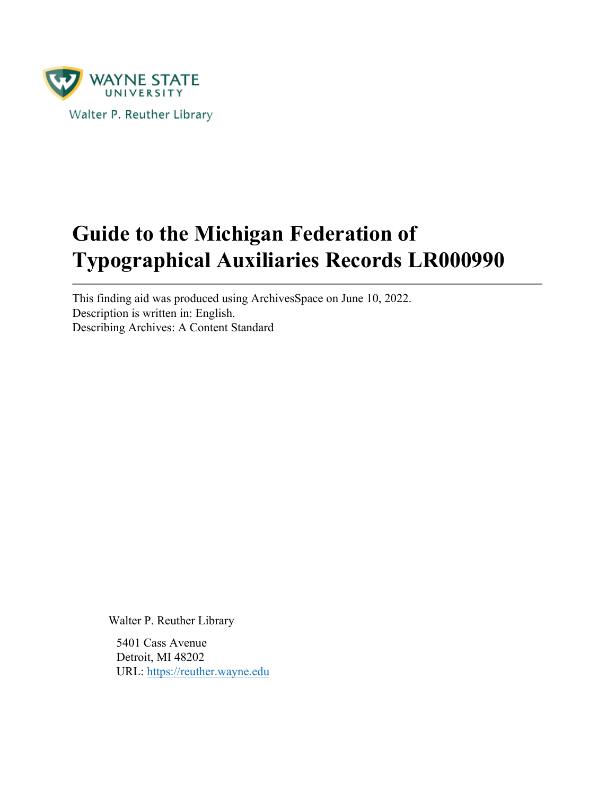

# **Guide to the Michigan Federation of Typographical Auxiliaries Records LR000990**

This finding aid was produced using ArchivesSpace on June 10, 2022. Description is written in: English. Describing Archives: A Content Standard

Walter P. Reuther Library

5401 Cass Avenue Detroit, MI 48202 URL:<https://reuther.wayne.edu>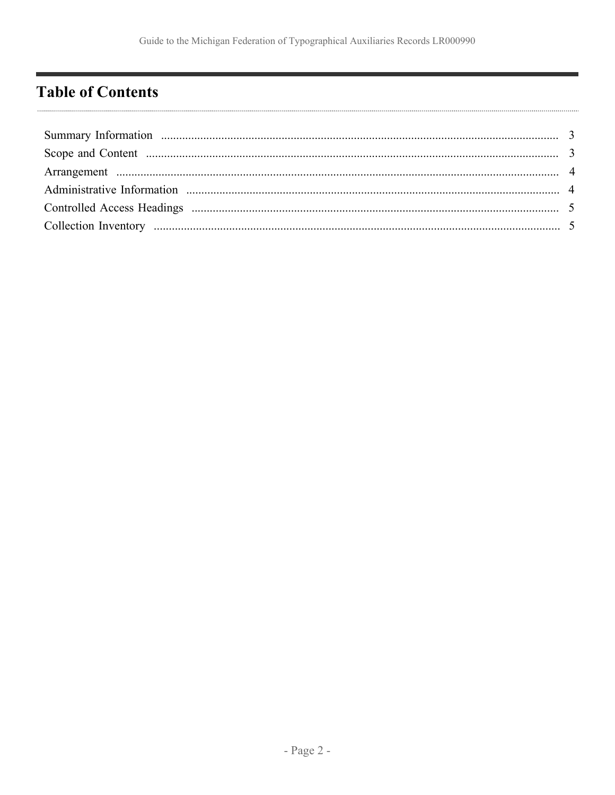# <span id="page-1-0"></span>**Table of Contents**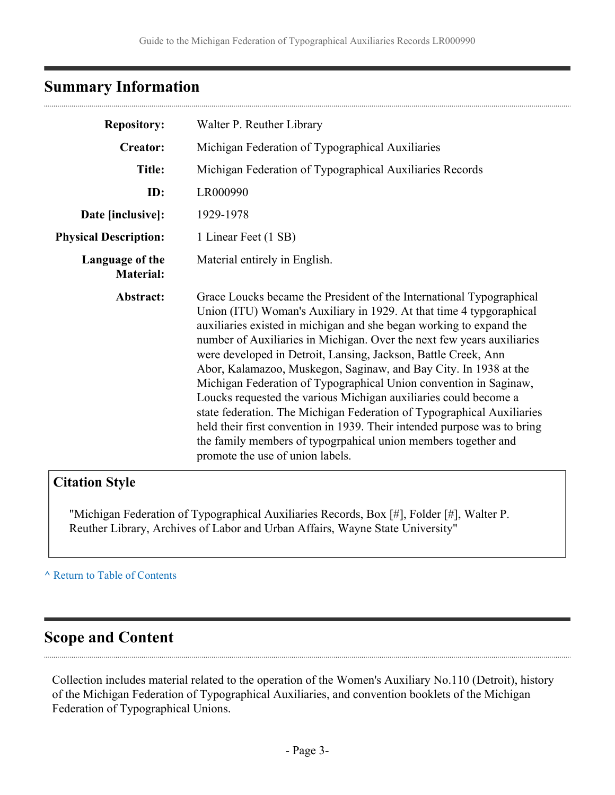## <span id="page-2-0"></span>**Summary Information**

| <b>Repository:</b>                  | Walter P. Reuther Library                                                                                                                                                                                                                                                                                                                                                                                                                                                                                                                                                                                                                                                                                                                                                                                                               |  |  |
|-------------------------------------|-----------------------------------------------------------------------------------------------------------------------------------------------------------------------------------------------------------------------------------------------------------------------------------------------------------------------------------------------------------------------------------------------------------------------------------------------------------------------------------------------------------------------------------------------------------------------------------------------------------------------------------------------------------------------------------------------------------------------------------------------------------------------------------------------------------------------------------------|--|--|
| <b>Creator:</b>                     | Michigan Federation of Typographical Auxiliaries                                                                                                                                                                                                                                                                                                                                                                                                                                                                                                                                                                                                                                                                                                                                                                                        |  |  |
| <b>Title:</b>                       | Michigan Federation of Typographical Auxiliaries Records                                                                                                                                                                                                                                                                                                                                                                                                                                                                                                                                                                                                                                                                                                                                                                                |  |  |
| ID:                                 | LR000990                                                                                                                                                                                                                                                                                                                                                                                                                                                                                                                                                                                                                                                                                                                                                                                                                                |  |  |
| Date [inclusive]:                   | 1929-1978                                                                                                                                                                                                                                                                                                                                                                                                                                                                                                                                                                                                                                                                                                                                                                                                                               |  |  |
| <b>Physical Description:</b>        | 1 Linear Feet (1 SB)                                                                                                                                                                                                                                                                                                                                                                                                                                                                                                                                                                                                                                                                                                                                                                                                                    |  |  |
| Language of the<br><b>Material:</b> | Material entirely in English.                                                                                                                                                                                                                                                                                                                                                                                                                                                                                                                                                                                                                                                                                                                                                                                                           |  |  |
| Abstract:                           | Grace Loucks became the President of the International Typographical<br>Union (ITU) Woman's Auxiliary in 1929. At that time 4 typgoraphical<br>auxiliaries existed in michigan and she began working to expand the<br>number of Auxiliaries in Michigan. Over the next few years auxiliaries<br>were developed in Detroit, Lansing, Jackson, Battle Creek, Ann<br>Abor, Kalamazoo, Muskegon, Saginaw, and Bay City. In 1938 at the<br>Michigan Federation of Typographical Union convention in Saginaw,<br>Loucks requested the various Michigan auxiliaries could become a<br>state federation. The Michigan Federation of Typographical Auxiliaries<br>held their first convention in 1939. Their intended purpose was to bring<br>the family members of typogrpahical union members together and<br>promote the use of union labels. |  |  |

### **Citation Style**

"Michigan Federation of Typographical Auxiliaries Records, Box [#], Folder [#], Walter P. Reuther Library, Archives of Labor and Urban Affairs, Wayne State University"

**^** [Return to Table of Contents](#page-1-0)

### <span id="page-2-1"></span>**Scope and Content**

Collection includes material related to the operation of the Women's Auxiliary No.110 (Detroit), history of the Michigan Federation of Typographical Auxiliaries, and convention booklets of the Michigan Federation of Typographical Unions.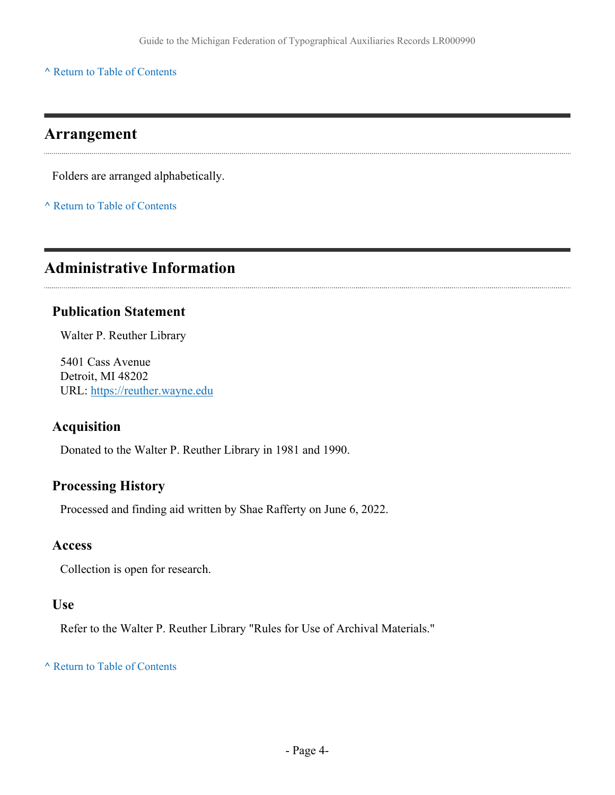**^** [Return to Table of Contents](#page-1-0)

### <span id="page-3-0"></span>**Arrangement**

Folders are arranged alphabetically.

**^** [Return to Table of Contents](#page-1-0)

# <span id="page-3-1"></span>**Administrative Information**

#### **Publication Statement**

Walter P. Reuther Library

5401 Cass Avenue Detroit, MI 48202 URL:<https://reuther.wayne.edu>

#### **Acquisition**

Donated to the Walter P. Reuther Library in 1981 and 1990.

#### **Processing History**

Processed and finding aid written by Shae Rafferty on June 6, 2022.

#### **Access**

Collection is open for research.

#### **Use**

Refer to the Walter P. Reuther Library "Rules for Use of Archival Materials."

#### **^** [Return to Table of Contents](#page-1-0)